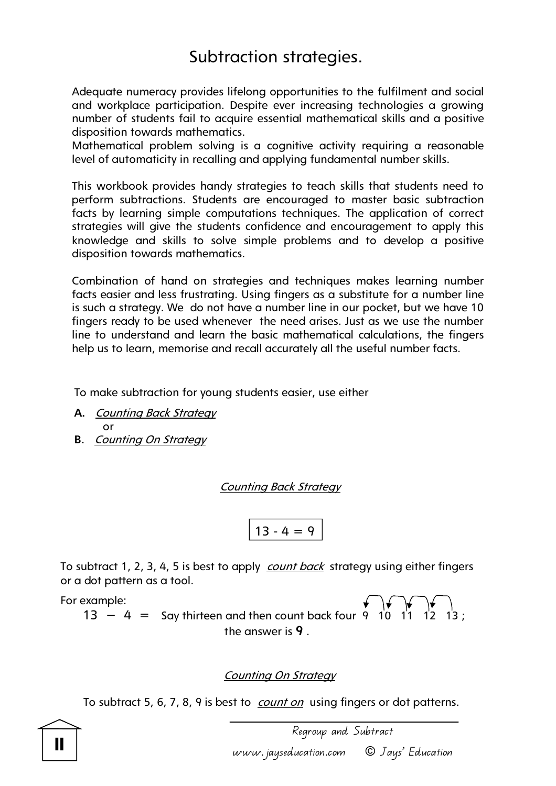## Subtraction strategies.

Adequate numeracy provides lifelong opportunities to the fulfilment and social and workplace participation. Despite ever increasing technologies a growing number of students fail to acquire essential mathematical skills and a positive disposition towards mathematics.

Mathematical problem solving is a cognitive activity requiring a reasonable level of automaticity in recalling and applying fundamental number skills.

This workbook provides handy strategies to teach skills that students need to perform subtractions. Students are encouraged to master basic subtraction facts by learning simple computations techniques. The application of correct strategies will give the students confidence and encouragement to apply this knowledge and skills to solve simple problems and to develop a positive disposition towards mathematics.

Combination of hand on strategies and techniques makes learning number facts easier and less frustrating. Using fingers as a substitute for a number line is such a strategy. We do not have a number line in our pocket, but we have 10 fingers ready to be used whenever the need arises. Just as we use the number line to understand and learn the basic mathematical calculations, the fingers help us to learn, memorise and recall accurately all the useful number facts.

To make subtraction for young students easier, use either

- **A.** Counting Back Strategy or
- **B.** Counting On Strategy

Counting Back Strategy

$$
13-4=9
$$

To subtract 1, 2, 3, 4, 5 is best to apply *count back* strategy using either fingers or a dot pattern as a tool.

For example:  $13 - 4 =$  Say thirteen and then count back four 9  $10$  11 12 13; the answer is **9** .

#### Counting On Strategy

To subtract 5, 6, 7, 8, 9 is best to *count on* using fingers or dot patterns.

 Regroup and Subtract www.jayseducation.com © Jays' Education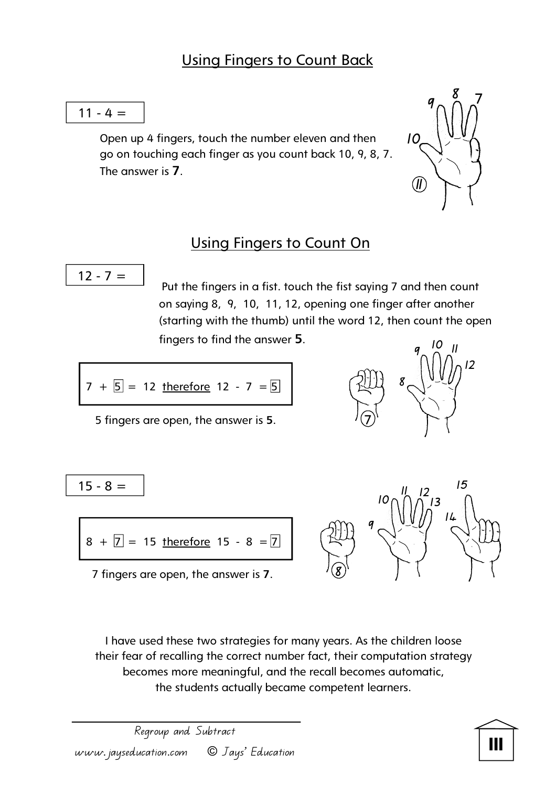

Open up 4 fingers, touch the number eleven and then go on touching each finger as you count back 10, 9, 8, 7. The answer is **7**.



### Using Fingers to Count On

$$
12 - 7 =
$$

Put the fingers in a fist. touch the fist saying 7 and then count on saying 8, 9, 10, 11, 12, opening one finger after another (starting with the thumb) until the word 12, then count the open fingers to find the answer **5**.

$$
7 + 5 = 12
$$
 therefore  $12 - 7 = 5$   $2\pi$   $8$ 

5 fingers are open, the answer is **5**. **7** 



$$
\overline{15-8} =
$$

$$
8 + 7 = 15
$$
 therefore 15 - 8 = 7

7 fingers are open, the answer is **7**.



I have used these two strategies for many years. As the children loose their fear of recalling the correct number fact, their computation strategy becomes more meaningful, and the recall becomes automatic, the students actually became competent learners.

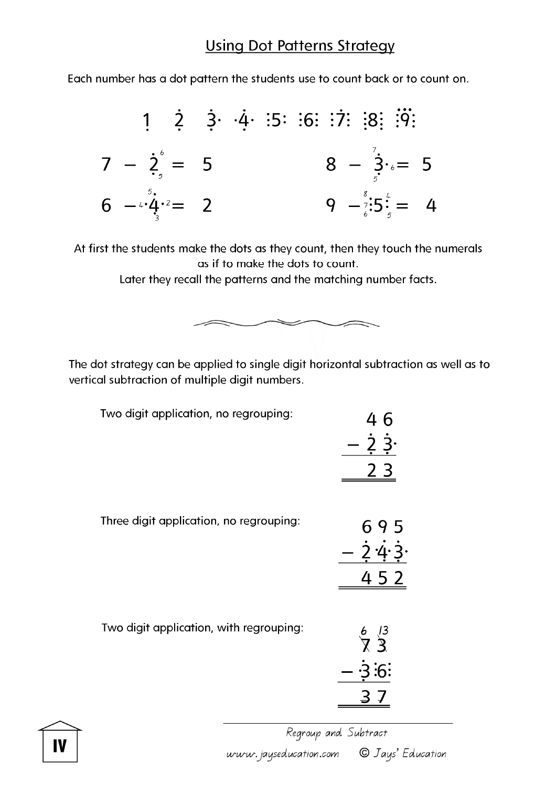Each number has a dot pattern the students use to count back or to count on.



At first the students make the dots as they count, then they touch the numerals as if to make the dots to count.

Later they recall the patterns and the matching number facts.

 $\iff$ 

 $\diagup$ 



| Two digit application, no regrouping:   | $\overline{2}$<br>2 <sub>3</sub>                  |
|-----------------------------------------|---------------------------------------------------|
| Three digit application, no regrouping: | 695<br>$\frac{2}{4}$<br>452                       |
| Two digit application, with regrouping: | $\frac{6}{7}$ $\frac{13}{3}$<br>$\cdot 3 \cdot 6$ |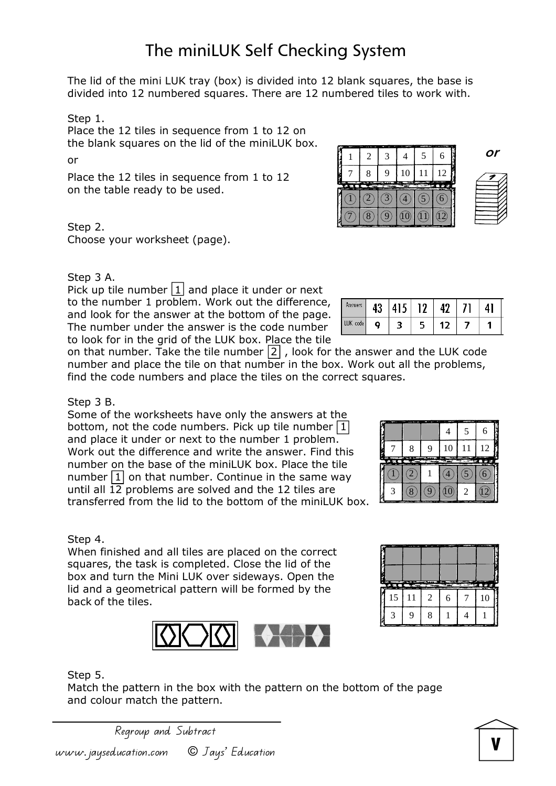divided into 12 numbered squares. There are 12 numbered tiles to work with.

The miniLUK Self Checking System

Step 1.

Place the 12 tiles in sequence from 1 to 12 on the blank squares on the lid of the miniLUK box.

or

Place the 12 tiles in sequence from 1 to 12 on the table ready to be used.

Step 2.

Choose your worksheet (page).

#### Step 3 A.

Pick up tile number  $|1|$  and place it under or next to the number 1 problem. Work out the difference, and look for the answer at the bottom of the page. The number under the answer is the code number to look for in the grid of the LUK box. Place the tile

on that number. Take the tile number  $\boxed{2}$ , look for the answer and the LUK code number and place the tile on that number in the box. Work out all the problems, find the code numbers and place the tiles on the correct squares.

### Step 3 B.

Some of the worksheets have only the answers at the bottom, not the code numbers. Pick up tile number  $\boxed{1}$ and place it under or next to the number 1 problem. Work out the difference and write the answer. Find this number on the base of the miniLUK box. Place the tile number  $\boxed{1}$  on that number. Continue in the same way until all  $\overline{12}$  problems are solved and the 12 tiles are transferred from the lid to the bottom of the miniLUK box.

### Step 4.

When finished and all tiles are placed on the correct squares, the task is completed. Close the lid of the box and turn the Mini LUK over sideways. Open the lid and a geometrical pattern will be formed by the back of the tiles.



Match the pattern in the box with the pattern on the bottom of the page and colour match the pattern.

Regroup and Subtract

www.jayseducation.com © Jays' Education





**or** 

| Answers  | 43 | 415 | 19 |     |  |
|----------|----|-----|----|-----|--|
| LUK code | ο  |     |    | 12. |  |

| -- | . | ×<br>.,<br>E. |    | 5                 | 1.1.1<br>6 |
|----|---|---------------|----|-------------------|------------|
| P. | 8 | 9             | 10 | 11<br><b>STAR</b> | 12<br>無金は  |
|    |   |               |    |                   | . .<br>6   |
|    |   |               |    |                   |            |



| ÿ<br>10<br>12<br>8<br>11<br>q<br>- 3<br>man en<br>œ<br>æ<br><b>Contract Contract</b><br>$\overline{L}$<br>2<br>9 |  |  | 6 |
|------------------------------------------------------------------------------------------------------------------|--|--|---|
|                                                                                                                  |  |  |   |
|                                                                                                                  |  |  |   |
| ◆<br>۰                                                                                                           |  |  |   |